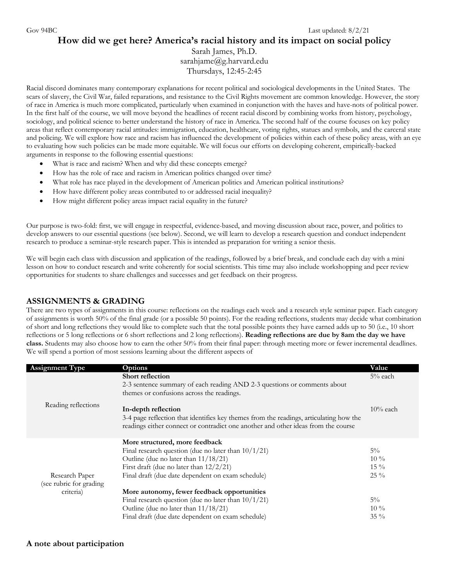**How did we get here? America's racial history and its impact on social policy**

Sarah James, Ph.D. sarahjame@g.harvard.edu

Thursdays, 12:45-2:45

Racial discord dominates many contemporary explanations for recent political and sociological developments in the United States. The scars of slavery, the Civil War, failed reparations, and resistance to the Civil Rights movement are common knowledge. However, the story of race in America is much more complicated, particularly when examined in conjunction with the haves and have-nots of political power. In the first half of the course, we will move beyond the headlines of recent racial discord by combining works from history, psychology, sociology, and political science to better understand the history of race in America. The second half of the course focuses on key policy areas that reflect contemporary racial attitudes: immigration, education, healthcare, voting rights, statues and symbols, and the carceral state and policing. We will explore how race and racism has influenced the development of policies within each of these policy areas, with an eye to evaluating how such policies can be made more equitable. We will focus our efforts on developing coherent, empirically-backed arguments in response to the following essential questions:

- What is race and racism? When and why did these concepts emerge?
- How has the role of race and racism in American politics changed over time?
- What role has race played in the development of American politics and American political institutions?
- How have different policy areas contributed to or addressed racial inequality?
- How might different policy areas impact racial equality in the future?

Our purpose is two-fold: first, we will engage in respectful, evidence-based, and moving discussion about race, power, and politics to develop answers to our essential questions (see below). Second, we will learn to develop a research question and conduct independent research to produce a seminar-style research paper. This is intended as preparation for writing a senior thesis.

We will begin each class with discussion and application of the readings, followed by a brief break, and conclude each day with a mini lesson on how to conduct research and write coherently for social scientists. This time may also include workshopping and peer review opportunities for students to share challenges and successes and get feedback on their progress.

# **ASSIGNMENTS & GRADING**

There are two types of assignments in this course: reflections on the readings each week and a research style seminar paper. Each category of assignments is worth 50% of the final grade (or a possible 50 points). For the reading reflections, students may decide what combination of short and long reflections they would like to complete such that the total possible points they have earned adds up to 50 (i.e., 10 short reflections or 5 long reflections or 6 short reflections and 2 long reflections). **Reading reflections are due by 8am the day we have class.** Students may also choose how to earn the other 50% from their final paper: through meeting more or fewer incremental deadlines. We will spend a portion of most sessions learning about the different aspects of

| <b>Assignment Type</b>  | Options                                                                                | Value       |
|-------------------------|----------------------------------------------------------------------------------------|-------------|
| Reading reflections     | <b>Short reflection</b>                                                                | $5%$ each   |
|                         | 2-3 sentence summary of each reading AND 2-3 questions or comments about               |             |
|                         | themes or confusions across the readings.                                              |             |
|                         | In-depth reflection                                                                    | $10\%$ each |
|                         | 3-4 page reflection that identifies key themes from the readings, articulating how the |             |
|                         | readings either connect or contradict one another and other ideas from the course      |             |
|                         |                                                                                        |             |
| Research Paper          | More structured, more feedback                                                         |             |
|                         | Final research question (due no later than $10/1/21$ )                                 | $5\%$       |
|                         | Outline (due no later than $11/18/21$ )                                                | $10\%$      |
|                         | First draft (due no later than $12/2/21$ )                                             | $15\%$      |
|                         | Final draft (due date dependent on exam schedule)                                      | $25\%$      |
| (see rubric for grading |                                                                                        |             |
| criteria)               | More autonomy, fewer feedback opportunities                                            |             |
|                         | Final research question (due no later than $10/1/21$ )                                 | $5\%$       |
|                         | Outline (due no later than $11/18/21$ )                                                | $10\%$      |
|                         | Final draft (due date dependent on exam schedule)                                      | $35\%$      |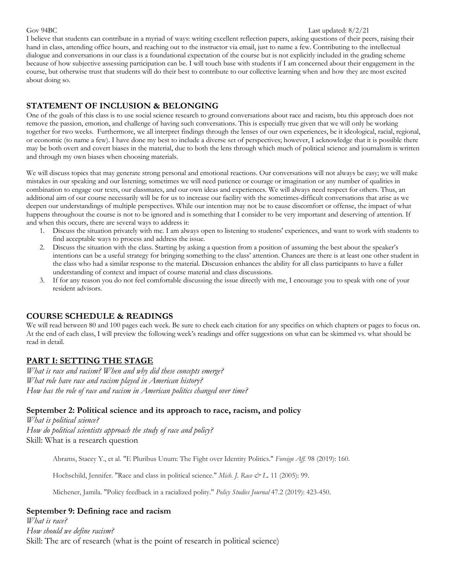#### Gov 94BC Last updated: 8/2/21

I believe that students can contribute in a myriad of ways: writing excellent reflection papers, asking questions of their peers, raising their hand in class, attending office hours, and reaching out to the instructor via email, just to name a few. Contributing to the intellectual dialogue and conversations in our class is a foundational expectation of the course but is not explicitly included in the grading scheme because of how subjective assessing participation can be. I will touch base with students if I am concerned about their engagement in the course, but otherwise trust that students will do their best to contribute to our collective learning when and how they are most excited about doing so.

# **STATEMENT OF INCLUSION & BELONGING**

One of the goals of this class is to use social science research to ground conversations about race and racism, btu this approach does not remove the passion, emotion, and challenge of having such conversations. This is especially true given that we will only be working together for two weeks. Furthermore, we all interpret findings through the lenses of our own experiences, be it ideological, racial, regional, or economic (to name a few). I have done my best to include a diverse set of perspectives; however, I acknowledge that it is possible there may be both overt and covert biases in the material, due to both the lens through which much of political science and journalism is written and through my own biases when choosing materials.

We will discuss topics that may generate strong personal and emotional reactions. Our conversations will not always be easy; we will make mistakes in our speaking and our listening; sometimes we will need patience or courage or imagination or any number of qualities in combination to engage our texts, our classmates, and our own ideas and experiences. We will always need respect for others. Thus, an additional aim of our course necessarily will be for us to increase our facility with the sometimes-difficult conversations that arise as we deepen our understandings of multiple perspectives. While our intention may not be to cause discomfort or offense, the impact of what happens throughout the course is not to be ignored and is something that I consider to be very important and deserving of attention. If and when this occurs, there are several ways to address it:

- 1. Discuss the situation privately with me. I am always open to listening to students' experiences, and want to work with students to find acceptable ways to process and address the issue.
- 2. Discuss the situation with the class. Starting by asking a question from a position of assuming the best about the speaker's intentions can be a useful strategy for bringing something to the class' attention. Chances are there is at least one other student in the class who had a similar response to the material. Discussion enhances the ability for all class participants to have a fuller understanding of context and impact of course material and class discussions.
- 3. If for any reason you do not feel comfortable discussing the issue directly with me, I encourage you to speak with one of your resident advisors.

# **COURSE SCHEDULE & READINGS**

We will read between 80 and 100 pages each week. Be sure to check each citation for any specifics on which chapters or pages to focus on. At the end of each class, I will preview the following week's readings and offer suggestions on what can be skimmed vs. what should be read in detail.

# **PART I: SETTING THE STAGE**

*What is race and racism? When and why did these concepts emerge? What role have race and racism played in American history? How has the role of race and racism in American politics changed over time?*

# **September 2: Political science and its approach to race, racism, and policy**

*What is political science? How do political scientists approach the study of race and policy?* Skill: What is a research question

Abrams, Stacey Y., et al. "E Pluribus Unum: The Fight over Identity Politics." *Foreign Aff.* 98 (2019): 160.

Hochschild, Jennifer. "Race and class in political science." *Mich. J. Race & L.* 11 (2005): 99.

Michener, Jamila. "Policy feedback in a racialized polity." *Policy Studies Journal* 47.2 (2019): 423-450.

# **September 9: Defining race and racism**

*What is race? How should we define racism?* Skill: The arc of research (what is the point of research in political science)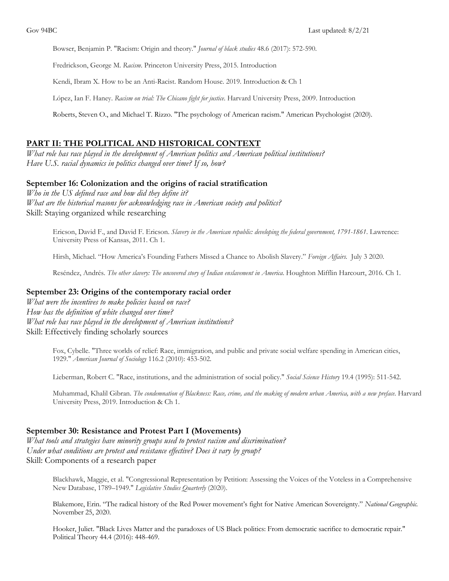Bowser, Benjamin P. "Racism: Origin and theory." *Journal of black studies* 48.6 (2017): 572-590.

Fredrickson, George M. *Racism*. Princeton University Press, 2015. Introduction

Kendi, Ibram X. How to be an Anti-Racist. Random House. 2019. Introduction & Ch 1

López, Ian F. Haney. *Racism on trial: The Chicano fight for justice*. Harvard University Press, 2009. Introduction

Roberts, Steven O., and Michael T. Rizzo. "The psychology of American racism." American Psychologist (2020).

# **PART II: THE POLITICAL AND HISTORICAL CONTEXT**

*What role has race played in the development of American politics and American political institutions? Have U.S. racial dynamics in politics changed over time? If so, how?*

## **September 16: Colonization and the origins of racial stratification**

*Who in the US defined race and how did they define it? What are the historical reasons for acknowledging race in American society and politics?* Skill: Staying organized while researching

> Ericson, David F., and David F. Ericson. *Slavery in the American republic: developing the federal government, 1791-1861*. Lawrence: University Press of Kansas, 2011. Ch 1.

Hirsh, Michael. "How America's Founding Fathers Missed a Chance to Abolish Slavery." *Foreign Affairs.* July 3 2020.

Reséndez, Andrés. *The other slavery: The uncovered story of Indian enslavement in America*. Houghton Mifflin Harcourt, 2016. Ch 1.

## **September 23: Origins of the contemporary racial order**

*What were the incentives to make policies based on race? How has the definition of white changed over time? What role has race played in the development of American institutions?* Skill: Effectively finding scholarly sources

> Fox, Cybelle. "Three worlds of relief: Race, immigration, and public and private social welfare spending in American cities, 1929." *American Journal of Sociology* 116.2 (2010): 453-502.

> Lieberman, Robert C. "Race, institutions, and the administration of social policy." *Social Science History* 19.4 (1995): 511-542.

Muhammad, Khalil Gibran. *The condemnation of Blackness: Race, crime, and the making of modern urban America, with a new preface*. Harvard University Press, 2019. Introduction & Ch 1.

## **September 30: Resistance and Protest Part I (Movements)**

*What tools and strategies have minority groups used to protest racism and discrimination? Under what conditions are protest and resistance effective? Does it vary by group?* Skill: Components of a research paper

Blackhawk, Maggie, et al. "Congressional Representation by Petition: Assessing the Voices of the Voteless in a Comprehensive New Database, 1789–1949." *Legislative Studies Quarterly* (2020).

Blakemore, Erin. "The radical history of the Red Power movement's fight for Native American Sovereignty." *National Geographic.*  November 25, 2020.

Hooker, Juliet. "Black Lives Matter and the paradoxes of US Black politics: From democratic sacrifice to democratic repair." Political Theory 44.4 (2016): 448-469.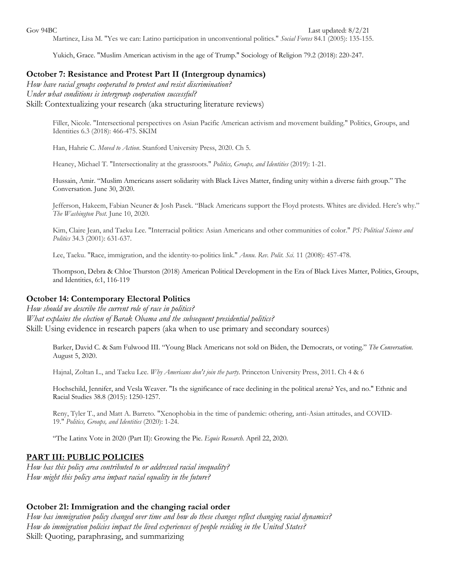Martinez, Lisa M. "Yes we can: Latino participation in unconventional politics." *Social Forces* 84.1 (2005): 135-155.

Yukich, Grace. "Muslim American activism in the age of Trump." Sociology of Religion 79.2 (2018): 220-247.

# **October 7: Resistance and Protest Part II (Intergroup dynamics)**

*How have racial groups cooperated to protest and resist discrimination? Under what conditions is intergroup cooperation successful?* Skill: Contextualizing your research (aka structuring literature reviews)

> Filler, Nicole. "Intersectional perspectives on Asian Pacific American activism and movement building." Politics, Groups, and Identities 6.3 (2018): 466-475. SKIM

Han, Hahrie C. *Moved to Action*. Stanford University Press, 2020. Ch 5.

Heaney, Michael T. "Intersectionality at the grassroots." *Politics, Groups, and Identities* (2019): 1-21.

Hussain, Amir. "Muslim Americans assert solidarity with Black Lives Matter, finding unity within a diverse faith group." The Conversation. June 30, 2020.

Jefferson, Hakeem, Fabian Neuner & Josh Pasek. "Black Americans support the Floyd protests. Whites are divided. Here's why." *The Washington Post.* June 10, 2020.

Kim, Claire Jean, and Taeku Lee. "Interracial politics: Asian Americans and other communities of color." *PS: Political Science and Politics* 34.3 (2001): 631-637.

Lee, Taeku. "Race, immigration, and the identity-to-politics link." *Annu. Rev. Polit. Sci.* 11 (2008): 457-478.

Thompson, Debra & Chloe Thurston (2018) American Political Development in the Era of Black Lives Matter, Politics, Groups, and Identities, 6:1, 116-119

# **October 14: Contemporary Electoral Politics**

*How should we describe the current role of race in politics? What explains the election of Barak Obama and the subsequent presidential politics?* Skill: Using evidence in research papers (aka when to use primary and secondary sources)

Barker, David C. & Sam Fulwood III. "Young Black Americans not sold on Biden, the Democrats, or voting." *The Conversation.*  August 5, 2020.

Hajnal, Zoltan L., and Taeku Lee. *Why Americans don't join the party*. Princeton University Press, 2011. Ch 4 & 6

Hochschild, Jennifer, and Vesla Weaver. "Is the significance of race declining in the political arena? Yes, and no." Ethnic and Racial Studies 38.8 (2015): 1250-1257.

Reny, Tyler T., and Matt A. Barreto. "Xenophobia in the time of pandemic: othering, anti-Asian attitudes, and COVID-19." *Politics, Groups, and Identities* (2020): 1-24.

"The Latinx Vote in 2020 (Part II): Growing the Pie. *Equis Research.* April 22, 2020.

# **PART III: PUBLIC POLICIES**

*How has this policy area contributed to or addressed racial inequality? How might this policy area impact racial equality in the future?*

# **October 21: Immigration and the changing racial order**

*How has immigration policy changed over time and how do these changes reflect changing racial dynamics? How do immigration policies impact the lived experiences of people residing in the United States?* Skill: Quoting, paraphrasing, and summarizing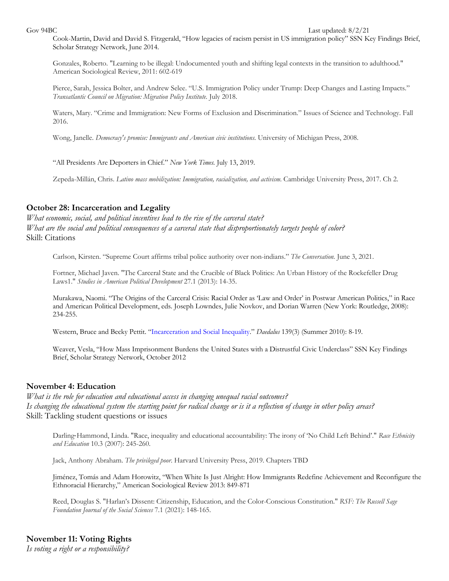#### Gov 94BC Last updated: 8/2/21

Cook-Martin, David and David S. Fitzgerald, "How legacies of racism persist in US immigration policy" SSN Key Findings Brief, Scholar Strategy Network, June 2014.

Gonzales, Roberto. "Learning to be illegal: Undocumented youth and shifting legal contexts in the transition to adulthood." American Sociological Review, 2011: 602-619

Pierce, Sarah, Jessica Bolter, and Andrew Selee. "U.S. Immigration Policy under Trump: Deep Changes and Lasting Impacts." *Transatlantic Council on Migration: Migration Policy Institute.* July 2018.

Waters, Mary. "Crime and Immigration: New Forms of Exclusion and Discrimination." Issues of Science and Technology. Fall 2016.

Wong, Janelle. *Democracy's promise: Immigrants and American civic institutions*. University of Michigan Press, 2008.

"All Presidents Are Deporters in Chief." *New York Times.* July 13, 2019.

Zepeda-Millán, Chris. *Latino mass mobilization: Immigration, racialization, and activism*. Cambridge University Press, 2017. Ch 2.

#### **October 28: Incarceration and Legality**

*What economic, social, and political incentives lead to the rise of the carceral state? What are the social and political consequences of a carceral state that disproportionately targets people of color?* Skill: Citations

Carlson, Kirsten. "Supreme Court affirms tribal police authority over non-indians." *The Conversation.* June 3, 2021.

Fortner, Michael Javen. "The Carceral State and the Crucible of Black Politics: An Urban History of the Rockefeller Drug Laws1." *Studies in American Political Development* 27.1 (2013): 14-35.

Murakawa, Naomi. "The Origins of the Carceral Crisis: Racial Order as 'Law and Order' in Postwar American Politics," in Race and American Political Development, eds. Joseph Lowndes, Julie Novkov, and Dorian Warren (New York: Routledge, 2008): 234-255.

Western, Bruce and Becky Pettit. "Incarceration and Social Inequality." *Daedalus* 139(3) (Summer 2010): 8-19.

Weaver, Vesla, "How Mass Imprisonment Burdens the United States with a Distrustful Civic Underclass" SSN Key Findings Brief, Scholar Strategy Network, October 2012

#### **November 4: Education**

*What is the role for education and educational access in changing unequal racial outcomes? Is changing the educational system the starting point for radical change or is it a reflection of change in other policy areas?* Skill: Tackling student questions or issues

Darling-Hammond, Linda. "Race, inequality and educational accountability: The irony of 'No Child Left Behind'." *Race Ethnicity and Education* 10.3 (2007): 245-260.

Jack, Anthony Abraham. *The privileged poor*. Harvard University Press, 2019. Chapters TBD

Jiménez, Tomás and Adam Horowitz, "When White Is Just Alright: How Immigrants Redefine Achievement and Reconfigure the Ethnoracial Hierarchy," American Sociological Review 2013: 849-871

Reed, Douglas S. "Harlan's Dissent: Citizenship, Education, and the Color-Conscious Constitution." *RSF: The Russell Sage Foundation Journal of the Social Sciences* 7.1 (2021): 148-165.

# **November 11: Voting Rights**

*Is voting a right or a responsibility?*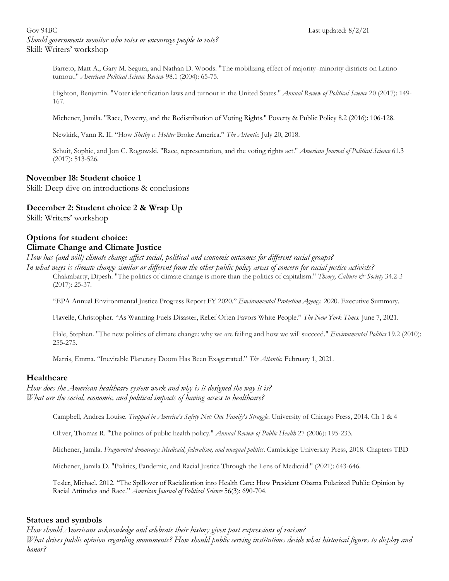## Gov 94BC Last updated: 8/2/21 *Should governments monitor who votes or encourage people to vote?* Skill: Writers' workshop

Barreto, Matt A., Gary M. Segura, and Nathan D. Woods. "The mobilizing effect of majority–minority districts on Latino turnout." *American Political Science Review* 98.1 (2004): 65-75.

Highton, Benjamin. "Voter identification laws and turnout in the United States." *Annual Review of Political Science* 20 (2017): 149- 167.

Michener, Jamila. "Race, Poverty, and the Redistribution of Voting Rights." Poverty & Public Policy 8.2 (2016): 106-128.

Newkirk, Vann R. II. "How *Shelby v. Holder* Broke America." *The Atlantic.* July 20, 2018.

Schuit, Sophie, and Jon C. Rogowski. "Race, representation, and the voting rights act." *American Journal of Political Science* 61.3 (2017): 513-526.

## **November 18: Student choice 1**

Skill: Deep dive on introductions & conclusions

# **December 2: Student choice 2 & Wrap Up**

Skill: Writers' workshop

#### **Options for student choice: Climate Change and Climate Justice**

*How has (and will) climate change affect social, political and economic outcomes for different racial groups?*

*In what ways is climate change similar or different from the other public policy areas of concern for racial justice activists?* Chakrabarty, Dipesh. "The politics of climate change is more than the politics of capitalism." *Theory, Culture & Society* 34.2-3 (2017): 25-37.

"EPA Annual Environmental Justice Progress Report FY 2020." *Environmental Protection Agency.* 2020. Executive Summary.

Flavelle, Christopher. "As Warming Fuels Disaster, Relief Often Favors White People." *The New York Times.* June 7, 2021.

Hale, Stephen. "The new politics of climate change: why we are failing and how we will succeed." *Environmental Politics* 19.2 (2010): 255-275.

Marris, Emma. "Inevitable Planetary Doom Has Been Exagerrated." *The Atlantic.* February 1, 2021.

## **Healthcare**

*How does the American healthcare system work and why is it designed the way it is? What are the social, economic, and political impacts of having access to healthcare?*

Campbell, Andrea Louise. *Trapped in America's Safety Net: One Family's Struggle*. University of Chicago Press, 2014. Ch 1 & 4

Oliver, Thomas R. "The politics of public health policy." *Annual Review of Public Health* 27 (2006): 195-233.

Michener, Jamila. *Fragmented democracy: Medicaid, federalism, and unequal politics*. Cambridge University Press, 2018. Chapters TBD

Michener, Jamila D. "Politics, Pandemic, and Racial Justice Through the Lens of Medicaid." (2021): 643-646.

Tesler, Michael. 2012. "The Spillover of Racialization into Health Care: How President Obama Polarized Public Opinion by Racial Attitudes and Race." *American Journal of Political Science* 56(3): 690-704.

## **Statues and symbols**

*How should Americans acknowledge and celebrate their history given past expressions of racism? What drives public opinion regarding monuments? How should public serving institutions decide what historical figures to display and honor?*